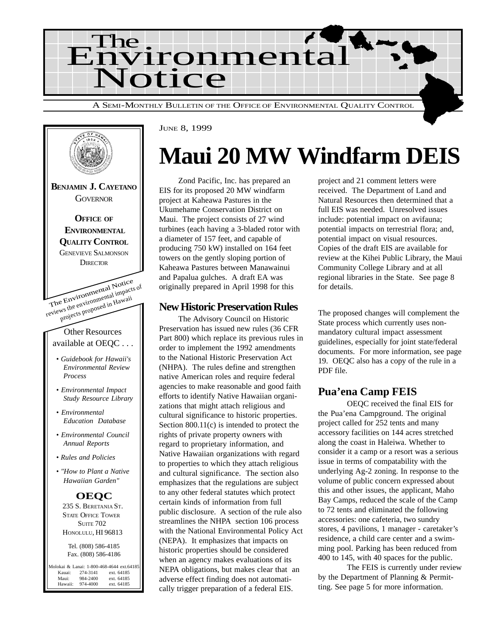



#### JUNE 8, 1999

## **Maui 20 MW Windfarm DEIS**

Zond Pacific, Inc. has prepared an EIS for its proposed 20 MW windfarm project at Kaheawa Pastures in the Ukumehame Conservation District on Maui. The project consists of 27 wind turbines (each having a 3-bladed rotor with a diameter of 157 feet, and capable of producing 750 kW) installed on 164 feet towers on the gently sloping portion of Kaheawa Pastures between Manawainui and Papalua gulches. A draft EA was originally prepared in April 1998 for this

### **New Historic Preservation Rules**

The Advisory Council on Historic Preservation has issued new rules (36 CFR Part 800) which replace its previous rules in order to implement the 1992 amendments to the National Historic Preservation Act (NHPA). The rules define and strengthen native American roles and require federal agencies to make reasonable and good faith efforts to identify Native Hawaiian organizations that might attach religious and cultural significance to historic properties. Section 800.11(c) is intended to protect the rights of private property owners with regard to proprietary information, and Native Hawaiian organizations with regard to properties to which they attach religious and cultural significance. The section also emphasizes that the regulations are subject to any other federal statutes which protect certain kinds of information from full public disclosure. A section of the rule also streamlines the NHPA section 106 process with the National Environmental Policy Act (NEPA). It emphasizes that impacts on historic properties should be considered when an agency makes evaluations of its NEPA obligations, but makes clear that an adverse effect finding does not automatically trigger preparation of a federal EIS.

project and 21 comment letters were received. The Department of Land and Natural Resources then determined that a full EIS was needed. Unresolved issues include: potential impact on avifauna; potential impacts on terrestrial flora; and, potential impact on visual resources. Copies of the draft EIS are available for review at the Kihei Public Library, the Maui Community College Library and at all regional libraries in the State. See page 8 for details.

The proposed changes will complement the State process which currently uses nonmandatory cultural impact assessment guidelines, especially for joint state/federal documents. For more information, see page 19. OEQC also has a copy of the rule in a PDF file.

### **Pua'ena Camp FEIS**

OEQC received the final EIS for the Pua'ena Campground. The original project called for 252 tents and many accessory facilities on 144 acres stretched along the coast in Haleiwa. Whether to consider it a camp or a resort was a serious issue in terms of compatability with the underlying Ag-2 zoning. In response to the volume of public concern expressed about this and other issues, the applicant, Maho Bay Camps, reduced the scale of the Camp to 72 tents and eliminated the following accessories: one cafeteria, two sundry stores, 4 pavilions, 1 manager - caretaker's residence, a child care center and a swimming pool. Parking has been reduced from 400 to 145, with 40 spaces for the public.

The FEIS is currently under review by the Department of Planning & Permitting. See page 5 for more information.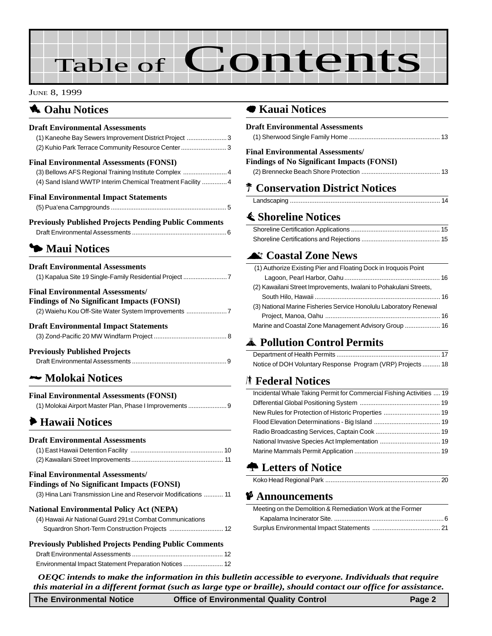# Table of Contents

#### JUNE 8, 1999

### **1** Oahu Notices

### **Draft Environmental Assessments**

| (1) Kaneohe Bay Sewers Improvement District Project 3                                  |
|----------------------------------------------------------------------------------------|
| (2) Kuhio Park Terrace Community Resource Center 3                                     |
| <b>Final Environmental Assessments (FONSI)</b>                                         |
| (3) Bellows AFS Regional Training Institute Complex  4                                 |
| (4) Sand Island WWTP Interim Chemical Treatment Facility  4                            |
| <b>Final Environmental Impact Statements</b>                                           |
|                                                                                        |
| <b>Previously Published Projects Pending Public Comments</b>                           |
|                                                                                        |
| • Maui Notices                                                                         |
| <b>Draft Environmental Assessments</b>                                                 |
| (1) Kapalua Site 19 Single-Family Residential Project 7                                |
| <b>Final Environmental Assessments/</b>                                                |
| $E_{\rm in}^{\rm s}$ din as af Ma $\Omega_{\rm out}^{\rm s}$ and Lemma at $\ell$ FONED |

| <b>Findings of No Significant Impacts (FONSI)</b> |  |  |
|---------------------------------------------------|--|--|
| (2) Waiehu Kou Off-Site Water System Improvements |  |  |
|                                                   |  |  |

### **Draft Environmental Impact Statements**

| <b>Previously Published Projects</b> |  |
|--------------------------------------|--|
|                                      |  |

### 2 **Molokai Notices**

### **Final Environmental Assessments (FONSI)**

| (1) Molokai Airport Master Plan, Phase I Improvements |  |
|-------------------------------------------------------|--|
|-------------------------------------------------------|--|

### 6 **Hawaii Notices**

#### **Draft Environmental Assessments** (1) East Hawaii Detention Facility ..................................................... 10 (2) Kawailani Street Improvements .................................................... 11

### **Final Environmental Assessments/ Findings of No Significant Impacts (FONSI)** (3) Hina Lani Transmission Line and Reservoir Modifications ........... 11 **National Environmental Policy Act (NEPA)** (4) Hawaii Air National Guard 291st Combat Communications Squardron Short-Term Construction Projects ................................... 12 **Previously Published Projects Pending Public Comments**

### 7 **Kauai Notices**

| Draft Environmental Assessments                                   |
|-------------------------------------------------------------------|
| Final Environmental Assessments/                                  |
| <b>Findings of No Significant Impacts (FONSI)</b>                 |
|                                                                   |
| <b>T Conservation District Notices</b>                            |
|                                                                   |
| <b>≰ Shoreline Notices</b>                                        |
|                                                                   |
|                                                                   |
| <b>A</b> <sup><i>r</i></sup> Coastal Zone News                    |
| (1) Authorize Existing Pier and Floating Dock in Iroquois Point   |
|                                                                   |
| (2) Kawailani Street Improvements, Iwalani to Pohakulani Streets, |
|                                                                   |
| (3) National Marine Fisheries Service Honolulu Laboratory Renewal |

### V **Pollution Control Permits**

| Notice of DOH Voluntary Response Program (VRP) Projects  18 |  |
|-------------------------------------------------------------|--|

 Project, Manoa, Oahu ................................................................. 16 Marine and Coastal Zone Management Advisory Group .................... 16

### S **Federal Notices**

| Incidental Whale Taking Permit for Commercial Fishing Activities  19 |  |
|----------------------------------------------------------------------|--|
|                                                                      |  |
|                                                                      |  |
|                                                                      |  |
|                                                                      |  |
|                                                                      |  |
|                                                                      |  |
|                                                                      |  |

### **1** Letters of Notice

|--|

### C **Announcements**

| Meeting on the Demolition & Remediation Work at the Former |
|------------------------------------------------------------|
|                                                            |
|                                                            |

*OEQC intends to make the information in this bulletin accessible to everyone. Individuals that require this material in a different format (such as large type or braille), should contact our office for assistance.*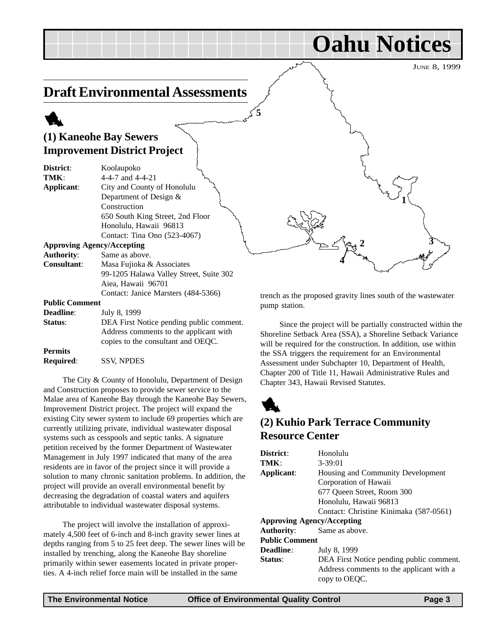JUNE 8, 1999

**Oahu Notices**

### **Draft Environmental Assessments**

### 1

|                                  | (1) Kaneohe Bay Sewers                                                                                                   |                                                                                                                                                                                    |
|----------------------------------|--------------------------------------------------------------------------------------------------------------------------|------------------------------------------------------------------------------------------------------------------------------------------------------------------------------------|
|                                  | <b>Improvement District Project</b>                                                                                      |                                                                                                                                                                                    |
| District:<br>TMK:<br>Applicant:  | Koolaupoko<br>4-4-7 and $4-4-21$<br>City and County of Honolulu<br>Department of Design &<br>Construction                |                                                                                                                                                                                    |
|                                  | 650 South King Street, 2nd Floor<br>Honolulu, Hawaii 96813<br>Contact: Tina Ono (523-4067)                               |                                                                                                                                                                                    |
|                                  | <b>Approving Agency/Accepting</b>                                                                                        |                                                                                                                                                                                    |
| <b>Authority:</b><br>Consultant: | Same as above.<br>Masa Fujioka & Associates                                                                              |                                                                                                                                                                                    |
|                                  | 99-1205 Halawa Valley Street, Suite 302<br>Aiea, Hawaii 96701                                                            |                                                                                                                                                                                    |
|                                  | Contact: Janice Marsters (484-5366)                                                                                      | trench as the proposed gravity lines south of the wastewate                                                                                                                        |
| <b>Public Comment</b>            |                                                                                                                          | pump station.                                                                                                                                                                      |
| <b>Deadline:</b>                 | July 8, 1999                                                                                                             |                                                                                                                                                                                    |
| Status:                          | DEA First Notice pending public comment.<br>Address comments to the applicant with<br>copies to the consultant and OEQC. | Since the project will be partially constructed within<br>Shoreline Setback Area (SSA), a Shoreline Setback Varian<br>will be required for the construction. In addition, use with |

**5**

**Permits**

**Required**: SSV, NPDES

The City & County of Honolulu, Department of Design and Construction proposes to provide sewer service to the Malae area of Kaneohe Bay through the Kaneohe Bay Sewers, Improvement District project. The project will expand the existing City sewer system to include 69 properties which are currently utilizing private, individual wastewater disposal systems such as cesspools and septic tanks. A signature petition received by the former Department of Wastewater Management in July 1997 indicated that many of the area residents are in favor of the project since it will provide a solution to many chronic sanitation problems. In addition, the project will provide an overall environmental benefit by decreasing the degradation of coastal waters and aquifers attributable to individual wastewater disposal systems.

The project will involve the installation of approximately 4,500 feet of 6-inch and 8-inch gravity sewer lines at depths ranging from 5 to 25 feet deep. The sewer lines will be installed by trenching, along the Kaneohe Bay shoreline primarily within sewer easements located in private properties. A 4-inch relief force main will be installed in the same

Since the project will be partially constructed within the Shoreline Setback Area (SSA), a Shoreline Setback Variance will be required for the construction. In addition, use within the SSA triggers the requirement for an Environmental Assessment under Subchapter 10, Department of Health, Chapter 200 of Title 11, Hawaii Administrative Rules and Chapter 343, Hawaii Revised Statutes.



### **(2) Kuhio Park Terrace Community Resource Center**

| Honolulu                                 |  |
|------------------------------------------|--|
| $3 - 39:01$                              |  |
| Housing and Community Development        |  |
| Corporation of Hawaii                    |  |
| 677 Oueen Street, Room 300               |  |
| Honolulu, Hawaii 96813                   |  |
| Contact: Christine Kinimaka (587-0561)   |  |
| <b>Approving Agency/Accepting</b>        |  |
| Same as above.                           |  |
| <b>Public Comment</b>                    |  |
| July 8, 1999                             |  |
| DEA First Notice pending public comment. |  |
| Address comments to the applicant with a |  |
| copy to OEOC.                            |  |
|                                          |  |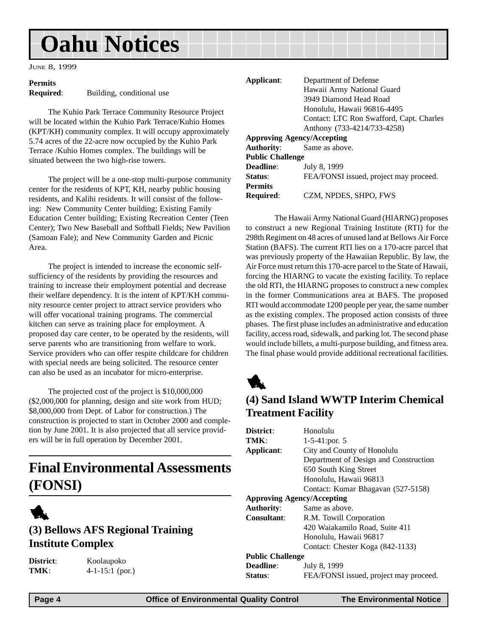## **Oahu Notices**

JUNE 8, 1999

### **Permits**

**Required:** Building, conditional use

The Kuhio Park Terrace Community Resource Project will be located within the Kuhio Park Terrace/Kuhio Homes (KPT/KH) community complex. It will occupy approximately 5.74 acres of the 22-acre now occupied by the Kuhio Park Terrace /Kuhio Homes complex. The buildings will be situated between the two high-rise towers.

The project will be a one-stop multi-purpose community center for the residents of KPT, KH, nearby public housing residents, and Kalihi residents. It will consist of the following: New Community Center building; Existing Family Education Center building; Existing Recreation Center (Teen Center); Two New Baseball and Softball Fields; New Pavilion (Samoan Fale); and New Community Garden and Picnic Area.

The project is intended to increase the economic selfsufficiency of the residents by providing the resources and training to increase their employment potential and decrease their welfare dependency. It is the intent of KPT/KH community resource center project to attract service providers who will offer vocational training programs. The commercial kitchen can serve as training place for employment. A proposed day care center, to be operated by the residents, will serve parents who are transitioning from welfare to work. Service providers who can offer respite childcare for children with special needs are being solicited. The resource center can also be used as an incubator for micro-enterprise.

The projected cost of the project is \$10,000,000 (\$2,000,000 for planning, design and site work from HUD; \$8,000,000 from Dept. of Labor for construction.) The construction is projected to start in October 2000 and completion by June 2001. It is also projected that all service providers will be in full operation by December 2001.

### **Final Environmental Assessments (FONSI)**



### **(3) Bellows AFS Regional Training Institute Complex**

**District**: Koolaupoko **TMK**: 4-1-15:1 (por.)

| Applicant:              | Department of Defense                    |
|-------------------------|------------------------------------------|
|                         | Hawaii Army National Guard               |
|                         | 3949 Diamond Head Road                   |
|                         | Honolulu, Hawaii 96816-4495              |
|                         | Contact: LTC Ron Swafford, Capt. Charles |
|                         | Anthony (733-4214/733-4258)              |
|                         | <b>Approving Agency/Accepting</b>        |
| Authority:              | Same as above.                           |
| <b>Public Challenge</b> |                                          |
| Deadline:               | July 8, 1999                             |
| Status:                 | FEA/FONSI issued, project may proceed.   |
| Permits                 |                                          |

**Required**: CZM, NPDES, SHPO, FWS

The Hawaii Army National Guard (HIARNG) proposes to construct a new Regional Training Institute (RTI) for the 298th Regiment on 48 acres of unused land at Bellows Air Force Station (BAFS). The current RTI lies on a 170-acre parcel that was previously property of the Hawaiian Republic. By law, the Air Force must return this 170-acre parcel to the State of Hawaii, forcing the HIARNG to vacate the existing facility. To replace the old RTI, the HIARNG proposes to construct a new complex in the former Communications area at BAFS. The proposed RTI would accommodate 1200 people per year, the same number as the existing complex. The proposed action consists of three phases. The first phase includes an administrative and education facility, access road, sidewalk, and parking lot. The second phase would include billets, a multi-purpose building, and fitness area. The final phase would provide additional recreational facilities.

1

### **(4) Sand Island WWTP Interim Chemical Treatment Facility**

| District:                         | Honolulu                               |  |
|-----------------------------------|----------------------------------------|--|
| TMK:                              | $1-5-41$ : por. 5                      |  |
| Applicant:                        | City and County of Honolulu            |  |
|                                   | Department of Design and Construction  |  |
|                                   | 650 South King Street                  |  |
|                                   | Honolulu, Hawaii 96813                 |  |
|                                   | Contact: Kumar Bhagavan (527-5158)     |  |
| <b>Approving Agency/Accepting</b> |                                        |  |
| <b>Authority:</b>                 | Same as above.                         |  |
| <b>Consultant:</b>                | R.M. Towill Corporation                |  |
|                                   | 420 Waiakamilo Road, Suite 411         |  |
|                                   | Honolulu, Hawaii 96817                 |  |
|                                   | Contact: Chester Koga (842-1133)       |  |
| <b>Public Challenge</b>           |                                        |  |
| <b>Deadline:</b>                  | July 8, 1999                           |  |
| <b>Status:</b>                    | FEA/FONSI issued, project may proceed. |  |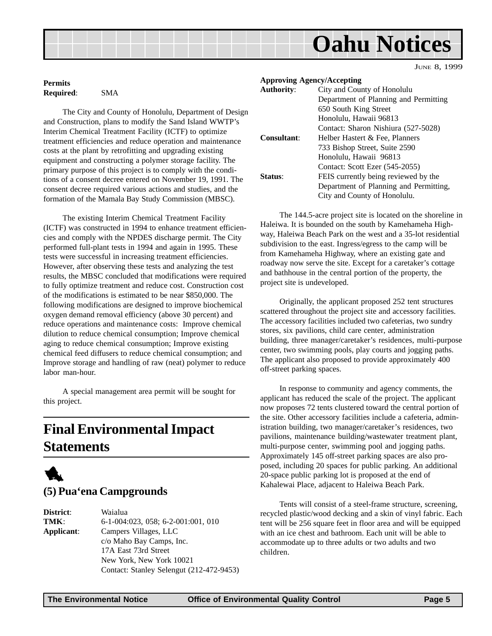### **Oahu Notices**

JUNE 8, 1999

### **Permits Required**: SMA

The City and County of Honolulu, Department of Design and Construction, plans to modify the Sand Island WWTP's Interim Chemical Treatment Facility (ICTF) to optimize treatment efficiencies and reduce operation and maintenance costs at the plant by retrofitting and upgrading existing equipment and constructing a polymer storage facility. The primary purpose of this project is to comply with the conditions of a consent decree entered on November 19, 1991. The consent decree required various actions and studies, and the formation of the Mamala Bay Study Commission (MBSC).

The existing Interim Chemical Treatment Facility (ICTF) was constructed in 1994 to enhance treatment efficiencies and comply with the NPDES discharge permit. The City performed full-plant tests in 1994 and again in 1995. These tests were successful in increasing treatment efficiencies. However, after observing these tests and analyzing the test results, the MBSC concluded that modifications were required to fully optimize treatment and reduce cost. Construction cost of the modifications is estimated to be near \$850,000. The following modifications are designed to improve biochemical oxygen demand removal efficiency (above 30 percent) and reduce operations and maintenance costs: Improve chemical dilution to reduce chemical consumption; Improve chemical aging to reduce chemical consumption; Improve existing chemical feed diffusers to reduce chemical consumption; and Improve storage and handling of raw (neat) polymer to reduce labor man-hour.

A special management area permit will be sought for this project.

### **Final Environmental Impact Statements**



### **(5) Pua'ena Campgrounds**

**District**: Waialua **TMK**: 6-1-004:023, 058; 6-2-001:001, 010 **Applicant**: Campers Villages, LLC c/o Maho Bay Camps, Inc. 17A East 73rd Street New York, New York 10021 Contact: Stanley Selengut (212-472-9453)

| <b>Approving Agency/Accepting</b> |                                        |
|-----------------------------------|----------------------------------------|
| <b>Authority:</b>                 | City and County of Honolulu            |
|                                   | Department of Planning and Permitting  |
|                                   | 650 South King Street                  |
|                                   | Honolulu, Hawaii 96813                 |
|                                   | Contact: Sharon Nishiura (527-5028)    |
| Consultant:                       | Helber Hastert & Fee, Planners         |
|                                   | 733 Bishop Street, Suite 2590          |
|                                   | Honolulu, Hawaii 96813                 |
|                                   | Contact: Scott Ezer (545-2055)         |
| Status:                           | FEIS currently being reviewed by the   |
|                                   | Department of Planning and Permitting, |
|                                   | City and County of Honolulu.           |

The 144.5-acre project site is located on the shoreline in Haleiwa. It is bounded on the south by Kamehameha Highway, Haleiwa Beach Park on the west and a 35-lot residential subdivision to the east. Ingress/egress to the camp will be from Kamehameha Highway, where an existing gate and roadway now serve the site. Except for a caretaker's cottage and bathhouse in the central portion of the property, the project site is undeveloped.

Originally, the applicant proposed 252 tent structures scattered throughout the project site and accessory facilities. The accessory facilities included two cafeterias, two sundry stores, six pavilions, child care center, administration building, three manager/caretaker's residences, multi-purpose center, two swimming pools, play courts and jogging paths. The applicant also proposed to provide approximately 400 off-street parking spaces.

In response to community and agency comments, the applicant has reduced the scale of the project. The applicant now proposes 72 tents clustered toward the central portion of the site. Other accessory facilities include a cafeteria, administration building, two manager/caretaker's residences, two pavilions, maintenance building/wastewater treatment plant, multi-purpose center, swimming pool and jogging paths. Approximately 145 off-street parking spaces are also proposed, including 20 spaces for public parking. An additional 20-space public parking lot is proposed at the end of Kahalewai Place, adjacent to Haleiwa Beach Park.

Tents will consist of a steel-frame structure, screening, recycled plastic/wood decking and a skin of vinyl fabric. Each tent will be 256 square feet in floor area and will be equipped with an ice chest and bathroom. Each unit will be able to accommodate up to three adults or two adults and two children.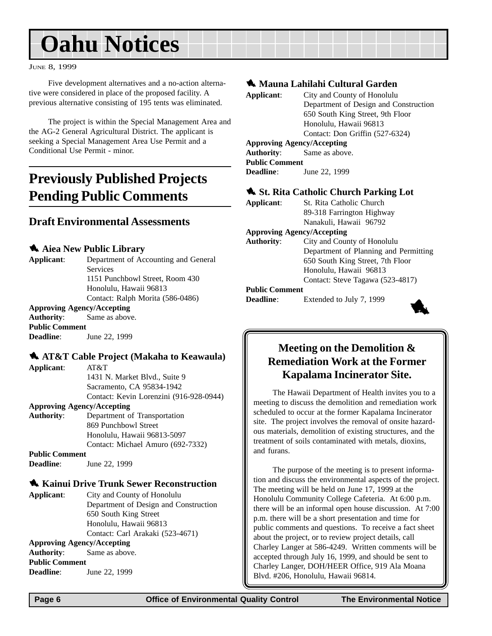## **Oahu Notices**

#### JUNE 8, 1999

Five development alternatives and a no-action alternative were considered in place of the proposed facility. A previous alternative consisting of 195 tents was eliminated.

The project is within the Special Management Area and the AG-2 General Agricultural District. The applicant is seeking a Special Management Area Use Permit and a Conditional Use Permit - minor.

### **Previously Published Projects Pending Public Comments**

### **Draft Environmental Assessments**

### **4.** Aiea New Public Library

**Applicant**: Department of Accounting and General **Services** 1151 Punchbowl Street, Room 430 Honolulu, Hawaii 96813 Contact: Ralph Morita (586-0486) **Approving Agency/Accepting**

### **Authority**: Same as above.

**Public Comment Deadline**: June 22, 1999

### **1. AT&T Cable Project (Makaha to Keawaula)**

**Applicant**: AT&T

1431 N. Market Blvd., Suite 9 Sacramento, CA 95834-1942 Contact: Kevin Lorenzini (916-928-0944)

### **Approving Agency/Accepting**

**Authority**: Department of Transportation 869 Punchbowl Street Honolulu, Hawaii 96813-5097 Contact: Michael Amuro (692-7332)

**Deadline**: June 22, 1999

### **1. Kainui Drive Trunk Sewer Reconstruction**

**Applicant**: City and County of Honolulu Department of Design and Construction 650 South King Street Honolulu, Hawaii 96813 Contact: Carl Arakaki (523-4671) **Approving Agency/Accepting**

### **Authority**: Same as above.

**Public Comment Deadline**: June 22, 1999

### 1 **Mauna Lahilahi Cultural Garden**

| Applicant:                        | City and County of Honolulu           |
|-----------------------------------|---------------------------------------|
|                                   | Department of Design and Construction |
|                                   | 650 South King Street, 9th Floor      |
|                                   | Honolulu, Hawaii 96813                |
|                                   | Contact: Don Griffin (527-6324)       |
| <b>Approving Agency/Accepting</b> |                                       |
|                                   | <b>Authority:</b> Same as above.      |
| <b>Public Comment</b>             |                                       |
| <b>Deadline:</b>                  | June 22, 1999                         |
|                                   |                                       |

### $\bullet$  St. Rita Catholic Church Parking Lot

| Applicant: | St. Rita Catholic Church  |
|------------|---------------------------|
|            | 89-318 Farrington Highway |
|            | Nanakuli, Hawaii 96792    |

#### **Approving Agency/Accepting**

**Authority**: City and County of Honolulu Department of Planning and Permitting 650 South King Street, 7th Floor Honolulu, Hawaii 96813 Contact: Steve Tagawa (523-4817)

#### **Public Comment**

**Deadline**: Extended to July 7, 1999



### **Meeting on the Demolition & Remediation Work at the Former Kapalama Incinerator Site.**

The Hawaii Department of Health invites you to a meeting to discuss the demolition and remediation work scheduled to occur at the former Kapalama Incinerator site. The project involves the removal of onsite hazardous materials, demolition of existing structures, and the treatment of soils contaminated with metals, dioxins, and furans.

The purpose of the meeting is to present information and discuss the environmental aspects of the project. The meeting will be held on June 17, 1999 at the Honolulu Community College Cafeteria. At 6:00 p.m. there will be an informal open house discussion. At 7:00 p.m. there will be a short presentation and time for public comments and questions. To receive a fact sheet about the project, or to review project details, call Charley Langer at 586-4249. Written comments will be accepted through July 16, 1999, and should be sent to Charley Langer, DOH/HEER Office, 919 Ala Moana Blvd. #206, Honolulu, Hawaii 96814.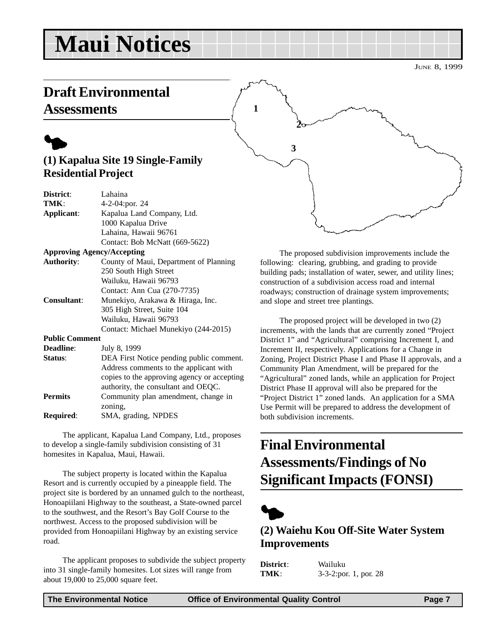## **Maui Notices**

## **Draft Environmental**

### **Assessments**



| District:             | Lahaina                                     |
|-----------------------|---------------------------------------------|
| TMK:                  | 4-2-04:por. 24                              |
| Applicant:            | Kapalua Land Company, Ltd.                  |
|                       | 1000 Kapalua Drive                          |
|                       | Lahaina, Hawaii 96761                       |
|                       | Contact: Bob McNatt (669-5622)              |
|                       | <b>Approving Agency/Accepting</b>           |
| <b>Authority:</b>     | County of Maui, Department of Planning      |
|                       | 250 South High Street                       |
|                       | Wailuku, Hawaii 96793                       |
|                       | Contact: Ann Cua (270-7735)                 |
| <b>Consultant:</b>    | Munekiyo, Arakawa & Hiraga, Inc.            |
|                       | 305 High Street, Suite 104                  |
|                       | Wailuku, Hawaii 96793                       |
|                       | Contact: Michael Munekiyo (244-2015)        |
| <b>Public Comment</b> |                                             |
| <b>Deadline:</b>      | July 8, 1999                                |
| Status:               | DEA First Notice pending public comment.    |
|                       | Address comments to the applicant with      |
|                       | copies to the approving agency or accepting |
|                       | authority, the consultant and OEQC.         |
| <b>Permits</b>        | Community plan amendment, change in         |
|                       | zoning,                                     |
| Required:             | SMA, grading, NPDES                         |

The applicant, Kapalua Land Company, Ltd., proposes to develop a single-family subdivision consisting of 31 homesites in Kapalua, Maui, Hawaii.

The subject property is located within the Kapalua Resort and is currently occupied by a pineapple field. The project site is bordered by an unnamed gulch to the northeast, Honoapiilani Highway to the southeast, a State-owned parcel to the southwest, and the Resort's Bay Golf Course to the northwest. Access to the proposed subdivision will be provided from Honoapiilani Highway by an existing service road.

The applicant proposes to subdivide the subject property into 31 single-family homesites. Lot sizes will range from about 19,000 to 25,000 square feet.

**1 2 3**

The proposed subdivision improvements include the following: clearing, grubbing, and grading to provide building pads; installation of water, sewer, and utility lines; construction of a subdivision access road and internal roadways; construction of drainage system improvements; and slope and street tree plantings.

The proposed project will be developed in two (2) increments, with the lands that are currently zoned "Project District 1" and "Agricultural" comprising Increment I, and Increment II, respectively. Applications for a Change in Zoning, Project District Phase I and Phase II approvals, and a Community Plan Amendment, will be prepared for the "Agricultural" zoned lands, while an application for Project District Phase II approval will also be prepared for the "Project District 1" zoned lands. An application for a SMA Use Permit will be prepared to address the development of both subdivision increments.

### **Final Environmental Assessments/Findings of No Significant Impacts (FONSI)**



### **(2) Waiehu Kou Off-Site Water System Improvements**

| District: | Wailuku               |
|-----------|-----------------------|
| TMK:      | 3-3-2:por. 1, por. 28 |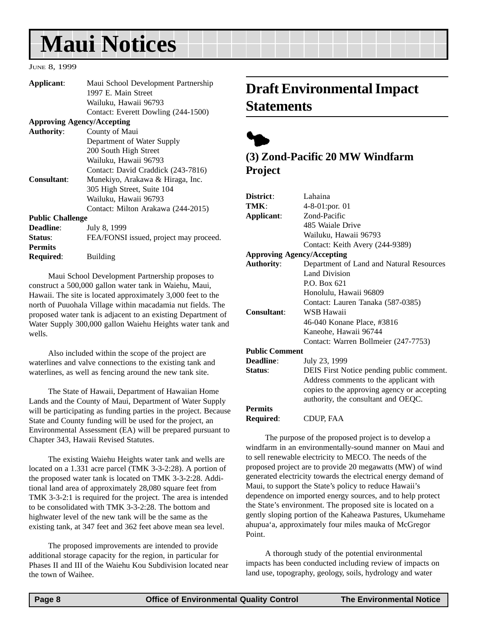## **Maui Notices**

#### JUNE 8, 1999

**Required**: Building

| Applicant:              | Maui School Development Partnership<br>1997 E. Main Street |
|-------------------------|------------------------------------------------------------|
|                         | Wailuku, Hawaii 96793                                      |
|                         | Contact: Everett Dowling (244-1500)                        |
|                         | <b>Approving Agency/Accepting</b>                          |
| <b>Authority:</b>       | County of Maui                                             |
|                         | Department of Water Supply                                 |
|                         | 200 South High Street                                      |
|                         | Wailuku, Hawaii 96793                                      |
|                         | Contact: David Craddick (243-7816)                         |
| Consultant:             | Munekiyo, Arakawa & Hiraga, Inc.                           |
|                         | 305 High Street, Suite 104                                 |
|                         | Wailuku, Hawaii 96793                                      |
|                         | Contact: Milton Arakawa (244-2015)                         |
| <b>Public Challenge</b> |                                                            |
| Deadline:               | July 8, 1999                                               |
| <b>Status:</b>          | FEA/FONSI issued, project may proceed.                     |
| <b>Permits</b>          |                                                            |
|                         |                                                            |

Maui School Development Partnership proposes to construct a 500,000 gallon water tank in Waiehu, Maui, Hawaii. The site is located approximately 3,000 feet to the north of Puuohala Village within macadamia nut fields. The proposed water tank is adjacent to an existing Department of Water Supply 300,000 gallon Waiehu Heights water tank and wells.

Also included within the scope of the project are waterlines and valve connections to the existing tank and waterlines, as well as fencing around the new tank site.

The State of Hawaii, Department of Hawaiian Home Lands and the County of Maui, Department of Water Supply will be participating as funding parties in the project. Because State and County funding will be used for the project, an Environmental Assessment (EA) will be prepared pursuant to Chapter 343, Hawaii Revised Statutes.

The existing Waiehu Heights water tank and wells are located on a 1.331 acre parcel (TMK 3-3-2:28). A portion of the proposed water tank is located on TMK 3-3-2:28. Additional land area of approximately 28,080 square feet from TMK 3-3-2:1 is required for the project. The area is intended to be consolidated with TMK 3-3-2:28. The bottom and highwater level of the new tank will be the same as the existing tank, at 347 feet and 362 feet above mean sea level.

The proposed improvements are intended to provide additional storage capacity for the region, in particular for Phases II and III of the Waiehu Kou Subdivision located near the town of Waihee.

### **Draft Environmental Impact Statements**



### **(3) Zond-Pacific 20 MW Windfarm Project**

| District:                         | Lahaina                                     |
|-----------------------------------|---------------------------------------------|
| TMK:                              | 4-8-01:por. 01                              |
| Applicant:                        | Zond-Pacific                                |
|                                   | 485 Waiale Drive                            |
|                                   | Wailuku, Hawaii 96793                       |
|                                   | Contact: Keith Avery (244-9389)             |
| <b>Approving Agency/Accepting</b> |                                             |
| <b>Authority:</b>                 | Department of Land and Natural Resources    |
|                                   | Land Division                               |
|                                   | P.O. Box 621                                |
|                                   | Honolulu, Hawaii 96809                      |
|                                   | Contact: Lauren Tanaka (587-0385)           |
| <b>Consultant:</b>                | WSB Hawaii                                  |
|                                   | 46-040 Konane Place, #3816                  |
|                                   | Kaneohe, Hawaii 96744                       |
|                                   | Contact: Warren Bollmeier (247-7753)        |
| <b>Public Comment</b>             |                                             |
| Deadline:                         | July 23, 1999                               |
| Status:                           | DEIS First Notice pending public comment.   |
|                                   | Address comments to the applicant with      |
|                                   | copies to the approving agency or accepting |
|                                   | authority, the consultant and OEQC.         |
| <b>Permits</b>                    |                                             |
| <b>Required:</b>                  | CDUP, FAA                                   |

The purpose of the proposed project is to develop a windfarm in an environmentally-sound manner on Maui and to sell renewable electricity to MECO. The needs of the proposed project are to provide 20 megawatts (MW) of wind generated electricity towards the electrical energy demand of Maui, to support the State's policy to reduce Hawaii's dependence on imported energy sources, and to help protect the State's environment. The proposed site is located on a gently sloping portion of the Kaheawa Pastures, Ukumehame ahupua'a, approximately four miles mauka of McGregor Point.

A thorough study of the potential environmental impacts has been conducted including review of impacts on land use, topography, geology, soils, hydrology and water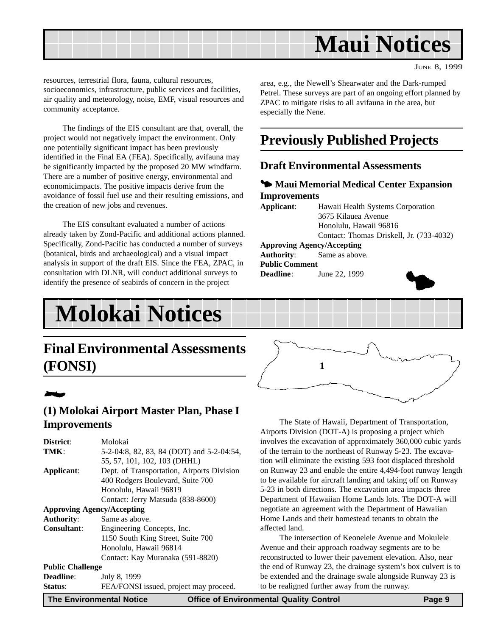

especially the Nene.

**Improvements**

**Public Comment**

**Approving Agency/Accepting Authority**: Same as above.

**Deadline**: June 22, 1999

JUNE 8, 1999

resources, terrestrial flora, fauna, cultural resources, socioeconomics, infrastructure, public services and facilities, air quality and meteorology, noise, EMF, visual resources and community acceptance.

The findings of the EIS consultant are that, overall, the project would not negatively impact the environment. Only one potentially significant impact has been previously identified in the Final EA (FEA). Specifically, avifauna may be significantly impacted by the proposed 20 MW windfarm. There are a number of positive energy, environmental and economicimpacts. The positive impacts derive from the avoidance of fossil fuel use and their resulting emissions, and the creation of new jobs and revenues.

The EIS consultant evaluated a number of actions already taken by Zond-Pacific and additional actions planned. Specifically, Zond-Pacific has conducted a number of surveys (botanical, birds and archaeological) and a visual impact analysis in support of the draft EIS. Since the FEA, ZPAC, in consultation with DLNR, will conduct additional surveys to identify the presence of seabirds of concern in the project

## **Molokai Notices**

### **Final Environmental Assessments (FONSI)**

### 2

### **(1) Molokai Airport Master Plan, Phase I Improvements**

|                         | 5-2-04:8, 82, 83, 84 (DOT) and 5-2-04:54,<br>55, 57, 101, 102, 103 (DHHL) |
|-------------------------|---------------------------------------------------------------------------|
| Applicant:              | Dept. of Transportation, Airports Division                                |
|                         | 400 Rodgers Boulevard, Suite 700                                          |
|                         | Honolulu, Hawaii 96819                                                    |
|                         | Contact: Jerry Matsuda (838-8600)                                         |
|                         | <b>Approving Agency/Accepting</b>                                         |
| <b>Authority:</b>       | Same as above.                                                            |
| <b>Consultant:</b>      | Engineering Concepts, Inc.                                                |
|                         | 1150 South King Street, Suite 700                                         |
|                         | Honolulu, Hawaii 96814                                                    |
|                         | Contact: Kay Muranaka (591-8820)                                          |
| <b>Public Challenge</b> |                                                                           |
| <b>Deadline:</b>        | July 8, 1999                                                              |
| Status:                 | FEA/FONSI issued, project may proceed.                                    |
| l —-                    | .                                                                         |



area, e.g., the Newell's Shearwater and the Dark-rumped Petrel. These surveys are part of an ongoing effort planned by ZPAC to mitigate risks to all avifauna in the area, but

**Previously Published Projects**

3 **Maui Memorial Medical Center Expansion**

Contact: Thomas Driskell, Jr. (733-4032)

 $\blacklozenge$ 

**Applicant**: Hawaii Health Systems Corporation 3675 Kilauea Avenue Honolulu, Hawaii 96816

**Draft Environmental Assessments**

The State of Hawaii, Department of Transportation, Airports Division (DOT-A) is proposing a project which involves the excavation of approximately 360,000 cubic yards of the terrain to the northeast of Runway 5-23. The excavation will eliminate the existing 593 foot displaced threshold on Runway 23 and enable the entire 4,494-foot runway length to be available for aircraft landing and taking off on Runway 5-23 in both directions. The excavation area impacts three Department of Hawaiian Home Lands lots. The DOT-A will negotiate an agreement with the Department of Hawaiian Home Lands and their homestead tenants to obtain the affected land.

The intersection of Keonelele Avenue and Mokulele Avenue and their approach roadway segments are to be reconstructed to lower their pavement elevation. Also, near the end of Runway 23, the drainage system's box culvert is to be extended and the drainage swale alongside Runway 23 is to be realigned further away from the runway.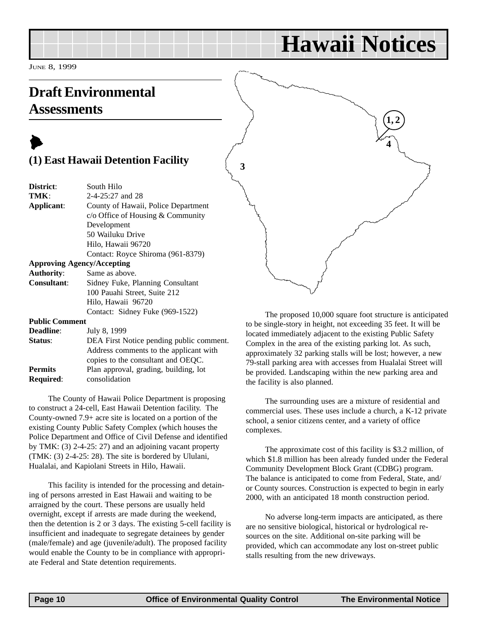## **Hawaii Notices**

JUNE 8, 1999

### **Draft Environmental Assessments**

### $\blacktriangleright$ **(1) East Hawaii Detention Facility**

| District:                         | South Hilo                               |
|-----------------------------------|------------------------------------------|
| TMK:                              | $2-4-25:27$ and 28                       |
| Applicant:                        | County of Hawaii, Police Department      |
|                                   | $c$ Office of Housing & Community        |
|                                   | Development                              |
|                                   | 50 Wailuku Drive                         |
|                                   | Hilo, Hawaii 96720                       |
|                                   | Contact: Royce Shiroma (961-8379)        |
| <b>Approving Agency/Accepting</b> |                                          |
| <b>Authority:</b>                 | Same as above.                           |
| <b>Consultant:</b>                | Sidney Fuke, Planning Consultant         |
|                                   | 100 Pauahi Street, Suite 212             |
|                                   | Hilo, Hawaii 96720                       |
|                                   | Contact: Sidney Fuke (969-1522)          |
| <b>Public Comment</b>             |                                          |
| <b>Deadline:</b>                  | July 8, 1999                             |
| Status:                           | DEA First Notice pending public comment. |
|                                   | Address comments to the applicant with   |
|                                   |                                          |

copies to the consultant and OEQC. **Permits** Plan approval, grading, building, lot **Required**: consolidation The County of Hawaii Police Department is proposing

to construct a 24-cell, East Hawaii Detention facility. The County-owned 7.9+ acre site is located on a portion of the existing County Public Safety Complex (which houses the Police Department and Office of Civil Defense and identified by TMK: (3) 2-4-25: 27) and an adjoining vacant property (TMK: (3) 2-4-25: 28). The site is bordered by Ululani, Hualalai, and Kapiolani Streets in Hilo, Hawaii.

This facility is intended for the processing and detaining of persons arrested in East Hawaii and waiting to be arraigned by the court. These persons are usually held overnight, except if arrests are made during the weekend, then the detention is 2 or 3 days. The existing 5-cell facility is insufficient and inadequate to segregate detainees by gender (male/female) and age (juvenile/adult). The proposed facility would enable the County to be in compliance with appropriate Federal and State detention requirements.



The proposed 10,000 square foot structure is anticipated to be single-story in height, not exceeding 35 feet. It will be located immediately adjacent to the existing Public Safety Complex in the area of the existing parking lot. As such, approximately 32 parking stalls will be lost; however, a new 79-stall parking area with accesses from Hualalai Street will be provided. Landscaping within the new parking area and the facility is also planned.

The surrounding uses are a mixture of residential and commercial uses. These uses include a church, a K-12 private school, a senior citizens center, and a variety of office complexes.

The approximate cost of this facility is \$3.2 million, of which \$1.8 million has been already funded under the Federal Community Development Block Grant (CDBG) program. The balance is anticipated to come from Federal, State, and/ or County sources. Construction is expected to begin in early 2000, with an anticipated 18 month construction period.

No adverse long-term impacts are anticipated, as there are no sensitive biological, historical or hydrological resources on the site. Additional on-site parking will be provided, which can accommodate any lost on-street public stalls resulting from the new driveways.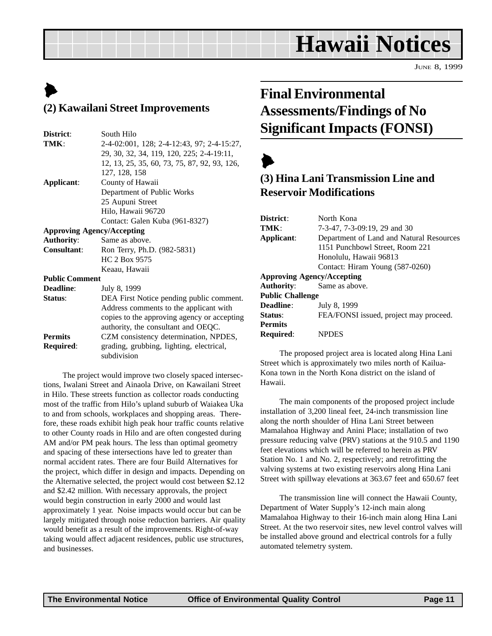## **Hawaii Notices**

JUNE 8, 1999

### $\blacktriangleright$ **(2) Kawailani Street Improvements**

| District:                         | South Hilo                                   |  |  |  |
|-----------------------------------|----------------------------------------------|--|--|--|
| TMK:                              | 2-4-02:001, 128; 2-4-12:43, 97; 2-4-15:27,   |  |  |  |
|                                   | 29, 30, 32, 34, 119, 120, 225; 2-4-19:11,    |  |  |  |
|                                   | 12, 13, 25, 35, 60, 73, 75, 87, 92, 93, 126, |  |  |  |
|                                   | 127, 128, 158                                |  |  |  |
| Applicant:                        | County of Hawaii                             |  |  |  |
|                                   | Department of Public Works                   |  |  |  |
|                                   | 25 Aupuni Street                             |  |  |  |
|                                   | Hilo, Hawaii 96720                           |  |  |  |
|                                   | Contact: Galen Kuba (961-8327)               |  |  |  |
| <b>Approving Agency/Accepting</b> |                                              |  |  |  |
| <b>Authority:</b>                 | Same as above.                               |  |  |  |
| <b>Consultant:</b>                | Ron Terry, Ph.D. (982-5831)                  |  |  |  |
|                                   | HC 2 Box 9575                                |  |  |  |
|                                   | Keaau, Hawaii                                |  |  |  |
| <b>Public Comment</b>             |                                              |  |  |  |
| <b>Deadline:</b>                  | July 8, 1999                                 |  |  |  |
| Status:                           | DEA First Notice pending public comment.     |  |  |  |
|                                   | Address comments to the applicant with       |  |  |  |
|                                   | copies to the approving agency or accepting  |  |  |  |
|                                   | authority, the consultant and OEQC.          |  |  |  |
| <b>Permits</b>                    | CZM consistency determination, NPDES,        |  |  |  |
| Required:                         | grading, grubbing, lighting, electrical,     |  |  |  |
|                                   | subdivision                                  |  |  |  |

The project would improve two closely spaced intersections, Iwalani Street and Ainaola Drive, on Kawailani Street in Hilo. These streets function as collector roads conducting most of the traffic from Hilo's upland suburb of Waiakea Uka to and from schools, workplaces and shopping areas. Therefore, these roads exhibit high peak hour traffic counts relative to other County roads in Hilo and are often congested during AM and/or PM peak hours. The less than optimal geometry and spacing of these intersections have led to greater than normal accident rates. There are four Build Alternatives for the project, which differ in design and impacts. Depending on the Alternative selected, the project would cost between \$2.12 and \$2.42 million. With necessary approvals, the project would begin construction in early 2000 and would last approximately 1 year. Noise impacts would occur but can be largely mitigated through noise reduction barriers. Air quality would benefit as a result of the improvements. Right-of-way taking would affect adjacent residences, public use structures, and businesses.

### **Final Environmental Assessments/Findings of No Significant Impacts (FONSI)**

### $\blacktriangleright$ **(3) Hina Lani Transmission Line and Reservoir Modifications**

| District:               | North Kona                               |  |  |  |
|-------------------------|------------------------------------------|--|--|--|
| TMK:                    | 7-3-47, 7-3-09:19, 29 and 30             |  |  |  |
| Applicant:              | Department of Land and Natural Resources |  |  |  |
|                         | 1151 Punchbowl Street, Room 221          |  |  |  |
|                         | Honolulu, Hawaii 96813                   |  |  |  |
|                         | Contact: Hiram Young (587-0260)          |  |  |  |
|                         | <b>Approving Agency/Accepting</b>        |  |  |  |
| Authority:              | Same as above.                           |  |  |  |
| <b>Public Challenge</b> |                                          |  |  |  |
| <b>Deadline:</b>        | July 8, 1999                             |  |  |  |
| Status:                 | FEA/FONSI issued, project may proceed.   |  |  |  |
| <b>Permits</b>          |                                          |  |  |  |
| <b>Required:</b>        | <b>NPDES</b>                             |  |  |  |
|                         |                                          |  |  |  |

The proposed project area is located along Hina Lani Street which is approximately two miles north of Kailua-Kona town in the North Kona district on the island of Hawaii.

The main components of the proposed project include installation of 3,200 lineal feet, 24-inch transmission line along the north shoulder of Hina Lani Street between Mamalahoa Highway and Anini Place; installation of two pressure reducing valve (PRV) stations at the 910.5 and 1190 feet elevations which will be referred to herein as PRV Station No. 1 and No. 2, respectively; and retrofitting the valving systems at two existing reservoirs along Hina Lani Street with spillway elevations at 363.67 feet and 650.67 feet

The transmission line will connect the Hawaii County, Department of Water Supply's 12-inch main along Mamalahoa Highway to their 16-inch main along Hina Lani Street. At the two reservoir sites, new level control valves will be installed above ground and electrical controls for a fully automated telemetry system.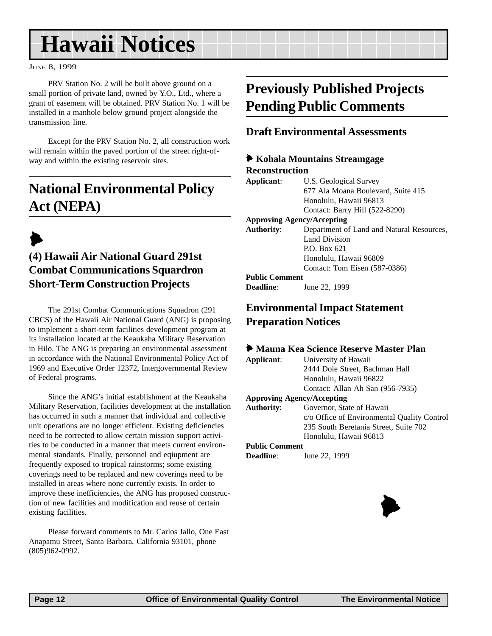## **Hawaii Notices**

#### JUNE 8, 1999

PRV Station No. 2 will be built above ground on a small portion of private land, owned by Y.O., Ltd., where a grant of easement will be obtained. PRV Station No. 1 will be installed in a manhole below ground project alongside the transmission line.

Except for the PRV Station No. 2, all construction work will remain within the paved portion of the street right-ofway and within the existing reservoir sites.

### **National Environmental Policy Act (NEPA)**

### $\blacktriangleright$ **(4) Hawaii Air National Guard 291st Combat Communications Squardron Short-Term Construction Projects**

The 291st Combat Communications Squadron (291 CBCS) of the Hawaii Air National Guard (ANG) is proposing to implement a short-term facilities development program at its installation located at the Keaukaha Military Reservation in Hilo. The ANG is preparing an environmental assessment in accordance with the National Environmental Policy Act of 1969 and Executive Order 12372, Intergovernmental Review of Federal programs.

Since the ANG's initial establishment at the Keaukaha Military Reservation, facilities development at the installation has occurred in such a manner that individual and collective unit operations are no longer efficient. Existing deficiencies need to be corrected to allow certain mission support activities to be conducted in a manner that meets current environmental standards. Finally, personnel and eqiupment are frequently exposed to tropical rainstorms; some existing coverings need to be replaced and new coverings need to be installed in areas where none currently exists. In order to improve these inefficiencies, the ANG has proposed construction of new facilities and modification and reuse of certain existing facilities.

Please forward comments to Mr. Carlos Jallo, One East Anapamu Street, Santa Barbara, California 93101, phone (805)962-0992.

### **Previously Published Projects Pending Public Comments**

### **Draft Environmental Assessments**

### 6 **Kohala Mountains Streamgage Reconstruction**

**Applicant**: U.S. Geological Survey 677 Ala Moana Boulevard, Suite 415 Honolulu, Hawaii 96813 Contact: Barry Hill (522-8290)

#### **Approving Agency/Accepting**

**Authority**: Department of Land and Natural Resources, Land Division P.O. Box 621 Honolulu, Hawaii 96809 Contact: Tom Eisen (587-0386)

#### **Public Comment**

**Deadline**: June 22, 1999

### **Environmental Impact Statement Preparation Notices**

#### 6 **Mauna Kea Science Reserve Master Plan**

**Applicant**: University of Hawaii 2444 Dole Street, Bachman Hall Honolulu, Hawaii 96822 Contact: Allan Ah San (956-7935)

#### **Approving Agency/Accepting**

**Authority**: Governor, State of Hawaii c/o Office of Environmental Quality Control 235 South Beretania Street, Suite 702 Honolulu, Hawaii 96813

#### **Public Comment**

**Deadline**: June 22, 1999

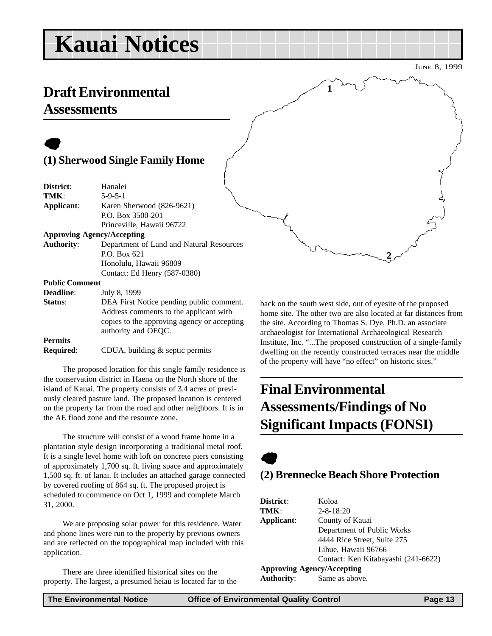## **Kauai Notices**

 $\bullet$ 

|                       | (1) Sherwood Single Family Home             |                |
|-----------------------|---------------------------------------------|----------------|
| District:             | Hanalei                                     |                |
| TMK:                  | $5 - 9 - 5 - 1$                             |                |
| Applicant:            | Karen Sherwood (826-9621)                   |                |
|                       | P.O. Box 3500-201                           |                |
|                       | Princeville, Hawaii 96722                   |                |
|                       | <b>Approving Agency/Accepting</b>           |                |
| <b>Authority:</b>     | Department of Land and Natural Resources    |                |
|                       | P.O. Box 621                                |                |
|                       | Honolulu, Hawaii 96809                      |                |
|                       | Contact: Ed Henry (587-0380)                |                |
| <b>Public Comment</b> |                                             |                |
| <b>Deadline:</b>      | July 8, 1999                                |                |
| Status:               | DEA First Notice pending public comment.    | b:             |
|                       | Address comments to the applicant with      | h١             |
|                       | copies to the approving agency or accepting | tŀ             |
|                       | authority and OEQC.                         | a <sub>1</sub> |
| <b>Permits</b>        |                                             | Ir             |

**Required:** CDUA, building & septic permits

The proposed location for this single family residence is the conservation district in Haena on the North shore of the island of Kauai. The property consists of 3.4 acres of previously cleared pasture land. The proposed location is centered on the property far from the road and other neighbors. It is in the AE flood zone and the resource zone.

The structure will consist of a wood frame home in a plantation style design incorporating a traditional metal roof. It is a single level home with loft on concrete piers consisting of approximately 1,700 sq. ft. living space and approximately 1,500 sq. ft. of lanai. It includes an attached garage connected by covered roofing of 864 sq. ft. The proposed project is scheduled to commence on Oct 1, 1999 and complete March 31, 2000.

We are proposing solar power for this residence. Water and phone lines were run to the property by previous owners and are reflected on the topographical map included with this application.

There are three identified historical sites on the property. The largest, a presumed heiau is located far to the

ack on the south west side, out of eyesite of the proposed ome site. The other two are also located at far distances from the site. According to Thomas S. Dye, Ph.D. an associate archaeologist for International Archaeological Research nstitute, Inc. "...The proposed construction of a single-family dwelling on the recently constructed terraces near the middle of the property will have "no effect" on historic sites."

**2**

### **Final Environmental Assessments/Findings of No Significant Impacts (FONSI)**

**1**



### **(2) Brennecke Beach Shore Protection**

| District:         | Koloa                               |
|-------------------|-------------------------------------|
| TMK:              | $2 - 8 - 18:20$                     |
| Applicant:        | County of Kauai                     |
|                   | Department of Public Works          |
|                   | 4444 Rice Street, Suite 275         |
|                   | Lihue, Hawaii 96766                 |
|                   | Contact: Ken Kitabayashi (241-6622) |
|                   | <b>Approving Agency/Accepting</b>   |
| <b>Authority:</b> | Same as above.                      |

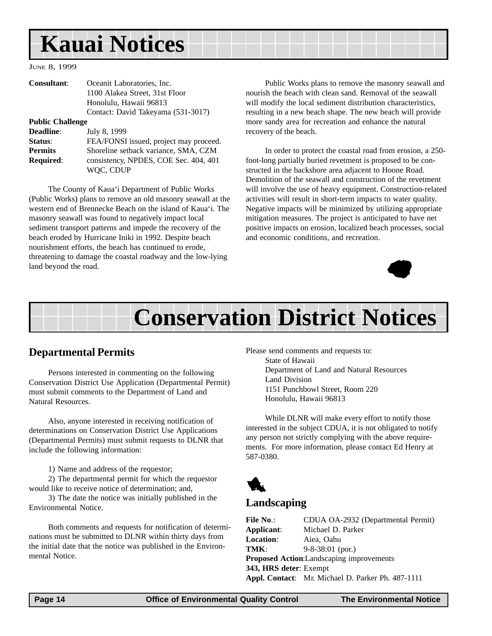## **Kauai Notices**

JUNE 8, 1999

| Consultant:             | Oceanit Laboratories, Inc.             |
|-------------------------|----------------------------------------|
|                         | 1100 Alakea Street, 31st Floor         |
|                         | Honolulu, Hawaii 96813                 |
|                         | Contact: David Takeyama (531-3017)     |
| <b>Public Challenge</b> |                                        |
| <b>Deadline:</b>        | July 8, 1999                           |
| Status:                 | FEA/FONSI issued, project may proceed. |
| <b>Permits</b>          | Shoreline setback variance, SMA, CZM   |
| <b>Required:</b>        | consistency, NPDES, COE Sec. 404, 401  |
|                         | WQC, CDUP                              |

The County of Kaua'i Department of Public Works (Public Works) plans to remove an old masonry seawall at the western end of Brennecke Beach on the island of Kaua'i. The masonry seawall was found to negatively impact local sediment transport patterns and impede the recovery of the beach eroded by Hurricane Iniki in 1992. Despite beach nourishment efforts, the beach has continued to erode, threatening to damage the coastal roadway and the low-lying land beyond the road.

Public Works plans to remove the masonry seawall and nourish the beach with clean sand. Removal of the seawall will modify the local sediment distribution characteristics, resulting in a new beach shape. The new beach will provide more sandy area for recreation and enhance the natural recovery of the beach.

In order to protect the coastal road from erosion, a 250 foot-long partially buried revetment is proposed to be constructed in the backshore area adjacent to Hoone Road. Demolition of the seawall and construction of the revetment will involve the use of heavy equipment. Construction-related activities will result in short-term impacts to water quality. Negative impacts will be minimized by utilizing appropriate mitigation measures. The project is anticipated to have net positive impacts on erosion, localized beach processes, social and economic conditions, and recreation.



## **Conservation District Notices**

### **Departmental Permits**

Persons interested in commenting on the following Conservation District Use Application (Departmental Permit) must submit comments to the Department of Land and Natural Resources.

Also, anyone interested in receiving notification of determinations on Conservation District Use Applications (Departmental Permits) must submit requests to DLNR that include the following information:

1) Name and address of the requestor;

2) The departmental permit for which the requestor would like to receive notice of determination; and,

3) The date the notice was initially published in the Environmental Notice.

Both comments and requests for notification of determinations must be submitted to DLNR within thirty days from the initial date that the notice was published in the Environmental Notice.

Please send comments and requests to: State of Hawaii Department of Land and Natural Resources Land Division 1151 Punchbowl Street, Room 220 Honolulu, Hawaii 96813

While DLNR will make every effort to notify those interested in the subject CDUA, it is not obligated to notify any person not strictly complying with the above requirements. For more information, please contact Ed Henry at 587-0380.



### **Landscaping**

| <b>File No.:</b>       | CDUA OA-2932 (Departmental Permit)                |  |  |  |
|------------------------|---------------------------------------------------|--|--|--|
| Applicant:             | Michael D. Parker                                 |  |  |  |
| <b>Location:</b>       | Aiea, Oahu                                        |  |  |  |
| TMK:                   | $9 - 8 - 38:01$ (por.)                            |  |  |  |
|                        | Proposed Action:Landscaping improvements          |  |  |  |
| 343, HRS deter: Exempt |                                                   |  |  |  |
|                        | Appl. Contact: Mr. Michael D. Parker Ph. 487-1111 |  |  |  |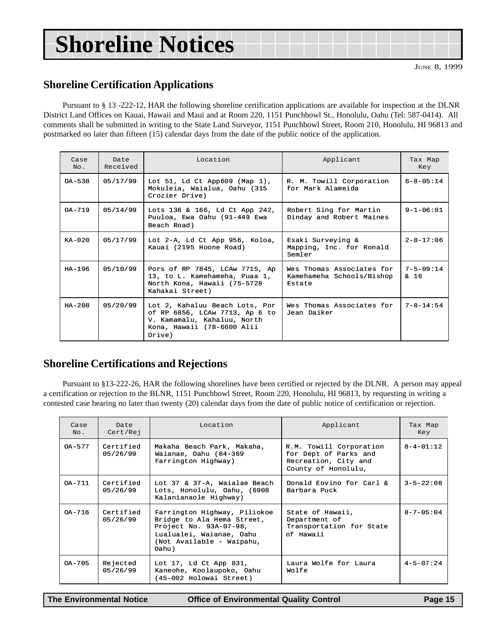## **Shoreline Notices**

### **Shoreline Certification Applications**

Pursuant to § 13 -222-12, HAR the following shoreline certification applications are available for inspection at the DLNR District Land Offices on Kauai, Hawaii and Maui and at Room 220, 1151 Punchbowl St., Honolulu, Oahu (Tel: 587-0414). All comments shall be submitted in writing to the State Land Surveyor, 1151 Punchbowl Street, Room 210, Honolulu, HI 96813 and postmarked no later than fifteen (15) calendar days from the date of the public notice of the application.

| Case<br>No. | Date<br>Received | Location                                                                                                                                | Applicant                                                        |                         |
|-------------|------------------|-----------------------------------------------------------------------------------------------------------------------------------------|------------------------------------------------------------------|-------------------------|
| $OA - 538$  | 05/17/99         | Lot $51$ , Ld Ct App609 (Map 1),<br>Mokuleia, Waialua, Oahu (315<br>Crozier Drive)                                                      | R. M. Towill Corporation<br>for Mark Alameida                    | $6 - 8 - 05:14$         |
| $OA-719$    | 05/14/99         | Lots 136 & 166, Ld Ct App 242,<br>Puuloa, Ewa Oahu (91-449 Ewa<br>Beach Road)                                                           | Robert Sing for Martin<br>Dinday and Robert Maines               | $9 - 1 - 06:01$         |
| $KA-020$    | 05/17/99         | Lot 2-A, Ld Ct App 956, Koloa,<br>Kauai (2195 Hoone Road)                                                                               | Esaki Surveying &<br>Mapping, Inc. for Ronald<br>Semler          | $2 - 8 - 17:06$         |
| $HA-196$    | 05/10/99         | Pors of RP 7845, LCAw 7715, Ap<br>13, to L. Kamehameha, Puaa 1,<br>North Kona, Hawaii (75-5728<br>Kahakai Street)                       | Wes Thomas Associates for<br>Kamehameha Schools/Bishop<br>Estate | $7 - 5 - 09:14$<br>& 16 |
| $HA-208$    | 05/20/99         | Lot 2, Kahaluu Beach Lots, Por<br>of RP 6856, LCAw 7713, Ap 6 to<br>V. Kamamalu, Kahaluu, North<br>Kona, Hawaii (78-6600 Alii<br>Drive) | Wes Thomas Associates for<br>Jean Daiker                         | $7 - 8 - 14:54$         |

### **Shoreline Certifications and Rejections**

Pursuant to §13-222-26, HAR the following shorelines have been certified or rejected by the DLNR. A person may appeal a certification or rejection to the BLNR, 1151 Punchbowl Street, Room 220, Honolulu, HI 96813, by requesting in writing a contested case hearing no later than twenty (20) calendar days from the date of public notice of certification or rejection.

| Case<br>No. | Date<br>Cert/Rej      | Location                                                                                                                                               | Applicant                                                                                       | Tax Map<br>Key    |
|-------------|-----------------------|--------------------------------------------------------------------------------------------------------------------------------------------------------|-------------------------------------------------------------------------------------------------|-------------------|
| $OA-577$    | Certified<br>05/26/99 | Makaha Beach Park, Makaha,<br>Waianae, Oahu (84-369<br>Farrington Highway)                                                                             | R.M. Towill Corporation<br>for Dept of Parks and<br>Recreation, City and<br>County of Honolulu, | $8 - 4 - 01:12$   |
| $OA - 711$  | Certified<br>05/26/99 | Lot 37 & 37-A, Waialae Beach<br>Lots, Honolulu, Oahu, (6908<br>Kalanianaole Highway)                                                                   | Donald Eovino for Carl &<br>Barbara Puck                                                        | $3 - 5 - 22:08$   |
| OA-716      | Certified<br>05/26/99 | Farrington Highway, Piliokoe<br>Bridge to Ala Hema Street,<br>Project No. 93A-07-98,<br>Lualualei, Waianae, Oahu<br>(Not Available - Waipahu,<br>Oahu) | State of Hawaii,<br>Department of<br>Transportation for State<br>of Hawaii                      | $8 - 7 - 05 : 04$ |
| $0A-705$    | Rejected<br>05/26/99  | Lot 17, Ld Ct App 831,<br>Kaneohe, Koolaupoko, Oahu<br>(45-002 Holowai Street)                                                                         | Laura Wolfe for Laura<br>Wolfe                                                                  | $4 - 5 - 07:24$   |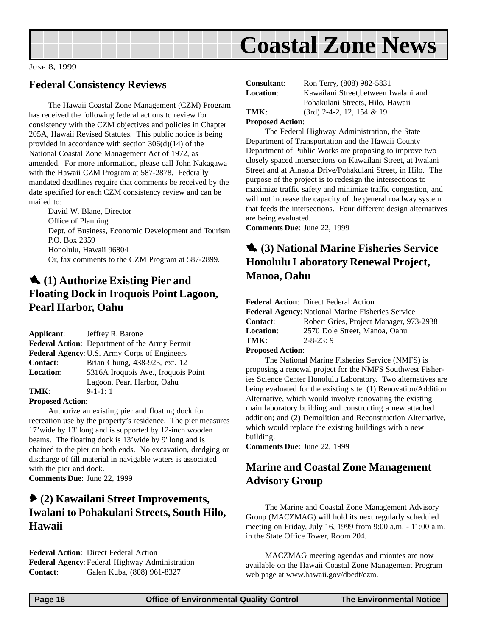

JUNE 8, 1999

### **Federal Consistency Reviews**

The Hawaii Coastal Zone Management (CZM) Program has received the following federal actions to review for consistency with the CZM objectives and policies in Chapter 205A, Hawaii Revised Statutes. This public notice is being provided in accordance with section 306(d)(14) of the National Coastal Zone Management Act of 1972, as amended. For more information, please call John Nakagawa with the Hawaii CZM Program at 587-2878. Federally mandated deadlines require that comments be received by the date specified for each CZM consistency review and can be mailed to:

David W. Blane, Director Office of Planning Dept. of Business, Economic Development and Tourism P.O. Box 2359 Honolulu, Hawaii 96804 Or, fax comments to the CZM Program at 587-2899.

### 1 **(1) Authorize Existing Pier and Floating Dock in Iroquois Point Lagoon, Pearl Harbor, Oahu**

|                  | <b>Applicant:</b> Jeffrey R. Barone                  |
|------------------|------------------------------------------------------|
|                  | <b>Federal Action:</b> Department of the Army Permit |
|                  | <b>Federal Agency: U.S. Army Corps of Engineers</b>  |
| <b>Contact:</b>  | Brian Chung, 438-925, ext. 12                        |
| <b>Location:</b> | 5316A Iroquois Ave., Iroquois Point                  |
|                  | Lagoon, Pearl Harbor, Oahu                           |
| TMK:             | $9-1-1:1$                                            |

### **Proposed Action**:

Authorize an existing pier and floating dock for recreation use by the property's residence. The pier measures 17'wide by 13' long and is supported by 12-inch wooden beams. The floating dock is 13'wide by 9' long and is chained to the pier on both ends. No excavation, dredging or discharge of fill material in navigable waters is associated with the pier and dock.

**Comments Due**: June 22, 1999

### 6 **(2) Kawailani Street Improvements, Iwalani to Pohakulani Streets, South Hilo, Hawaii**

**Federal Action**: Direct Federal Action **Federal Agency**: Federal Highway Administration **Contact**: Galen Kuba, (808) 961-8327

| <b>Consultant:</b> | Ron Terry, (808) 982-5831             |  |  |
|--------------------|---------------------------------------|--|--|
| <b>Location:</b>   | Kawailani Street, between Iwalani and |  |  |
|                    | Pohakulani Streets, Hilo, Hawaii      |  |  |
| TMK:               | $(3rd)$ 2-4-2, 12, 154 & 19           |  |  |
|                    |                                       |  |  |

### **Proposed Action**:

The Federal Highway Administration, the State Department of Transportation and the Hawaii County Department of Public Works are proposing to improve two closely spaced intersections on Kawailani Street, at Iwalani Street and at Ainaola Drive/Pohakulani Street, in Hilo. The purpose of the project is to redesign the intersections to maximize traffic safety and minimize traffic congestion, and will not increase the capacity of the general roadway system that feeds the intersections. Four different design alternatives are being evaluated.

**Comments Due**: June 22, 1999

### 1 **(3) National Marine Fisheries Service Honolulu Laboratory Renewal Project, Manoa, Oahu**

**Federal Action**: Direct Federal Action

| <b>Federal Agency: National Marine Fisheries Service</b> |  |  |  |
|----------------------------------------------------------|--|--|--|
| Robert Gries, Project Manager, 973-2938                  |  |  |  |
|                                                          |  |  |  |
|                                                          |  |  |  |
|                                                          |  |  |  |

#### **Proposed Action**:

The National Marine Fisheries Service (NMFS) is proposing a renewal project for the NMFS Southwest Fisheries Science Center Honolulu Laboratory. Two alternatives are being evaluated for the existing site: (1) Renovation/Addition Alternative, which would involve renovating the existing main laboratory building and constructing a new attached addition; and (2) Demolition and Reconstruction Alternative, which would replace the existing buildings with a new building.

**Comments Due**: June 22, 1999

### **Marine and Coastal Zone Management Advisory Group**

The Marine and Coastal Zone Management Advisory Group (MACZMAG) will hold its next regularly scheduled meeting on Friday, July 16, 1999 from 9:00 a.m. - 11:00 a.m. in the State Office Tower, Room 204.

MACZMAG meeting agendas and minutes are now available on the Hawaii Coastal Zone Management Program web page at www.hawaii.gov/dbedt/czm.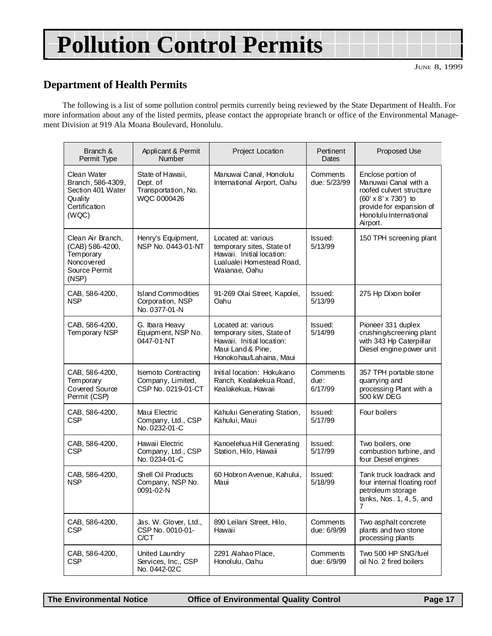## **Pollution Control Permits**

### **Department of Health Permits**

The following is a list of some pollution control permits currently being reviewed by the State Department of Health. For more information about any of the listed permits, please contact the appropriate branch or office of the Environmental Management Division at 919 Ala Moana Boulevard, Honolulu.

| Branch &<br>Permit Type                                                                    | Applicant & Permit<br><b>Number</b>                                   | Project Location                                                                                                              | Pertinent<br>Dates          | Proposed Use                                                                                                                                                     |
|--------------------------------------------------------------------------------------------|-----------------------------------------------------------------------|-------------------------------------------------------------------------------------------------------------------------------|-----------------------------|------------------------------------------------------------------------------------------------------------------------------------------------------------------|
| Clean Water<br>Branch, 586-4309,<br>Section 401 Water<br>Quality<br>Certification<br>(WQC) | State of Hawaii,<br>Dept. of<br>Transportation, No.<br>WQC 0000426    | Manuwai Canal, Honolulu<br>International Airport, Oahu                                                                        | Comments<br>due: 5/23/99    | Enclose portion of<br>Manuwai Canal with a<br>roofed culvert structure<br>(60' x 8' x 730') to<br>provide for expansion of<br>Honolulu International<br>Airport. |
| Clean Air Branch,<br>(CAB) 586-4200,<br>Tem porary<br>Noncovered<br>Source Permit<br>(NSP) | Henry's Equipment,<br>NSP No. 0443-01-NT                              | Located at: various<br>temporary sites, State of<br>Hawaii. Initial location:<br>Lualualei Homestead Road,<br>Waianae, Oahu   | Issued:<br>5/13/99          | 150 TPH screening plant                                                                                                                                          |
| CAB, 586-4200,<br><b>NSP</b>                                                               | <b>Island Commodities</b><br>Corporation, NSP<br>No. 0377-01-N        | 91-269 Olai Street, Kapolei,<br>Oahu                                                                                          | Issued:<br>5/13/99          | 275 Hp Dixon boiler                                                                                                                                              |
| CAB, 586-4200,<br>Temporary NSP                                                            | G. Ibara Heavy<br>Equipment, NSP No.<br>0447-01-NT                    | Located at: various<br>temporary sites, State of<br>Hawaii. Initial location:<br>Maui Land & Pine,<br>Honokohau/Lahaina, Maui | lssued:<br>5/14/99          | Pioneer 331 duplex<br>crushing/screening plant<br>with 343 Hp Caterpillar<br>Diesel engine power unit                                                            |
| CAB, 586-4200,<br>Tem porary<br>Covered Source<br>Permit (CSP)                             | <b>Isemoto Contracting</b><br>Company, Limited,<br>CSP No. 0219-01-CT | Initial location: Hokukano<br>Ranch, Kealakekua Road,<br>Kealakekua, Hawaii                                                   | Comments<br>due:<br>6/17/99 | 357 TPH portable stone<br>quarrying and<br>processing Plant with a<br>500 kW DEG                                                                                 |
| CAB, 586-4200,<br><b>CSP</b>                                                               | Maui Electric<br>Company, Ltd., CSP<br>No. 0232-01-C                  | Kahului Generating Station,<br>Kahului, Maui                                                                                  | lssued:<br>5/17/99          | Four boilers                                                                                                                                                     |
| CAB, 586-4200,<br><b>CSP</b>                                                               | Hawaii Electric<br>Company, Ltd., CSP<br>No. 0234-01-C                | Kanoelehua Hill Generating<br>Station, Hilo, Hawaii                                                                           | Issued:<br>5/17/99          | Two boilers, one<br>combustion turbine, and<br>four Diesel engines                                                                                               |
| CAB, 586-4200,<br><b>NSP</b>                                                               | Shell Oil Products<br>Company, NSP No.<br>0091-02-N                   | 60 Hobron Avenue, Kahului,<br>Maui                                                                                            | Issued:<br>5/18/99          | Tank truck loadrack and<br>four internal floating roof<br>petroleum storage<br>tanks, Nos. 1, 4, 5, and<br>7                                                     |
| CAB, 586-4200,<br><b>CSP</b>                                                               | Jas. W. Glover, Ltd.,<br>CSP No. 0010-01-<br>C/CT                     | 890 Leilani Street, Hilo,<br>Hawaii                                                                                           | Comments<br>due: 6/9/99     | Two asphalt concrete<br>plants and two stone<br>processing plants                                                                                                |
| CAB, 586-4200,<br>CSP                                                                      | United Laundry<br>Services, Inc., CSP<br>No. 0442-02C                 | 2291 Alahao Place,<br>Honolulu, Oahu                                                                                          | Comments<br>due: 6/9/99     | Two 500 HP SNG/fuel<br>oil No. 2 fired boilers                                                                                                                   |

**The Environmental Notice Office of Environmental Quality Control Page 17**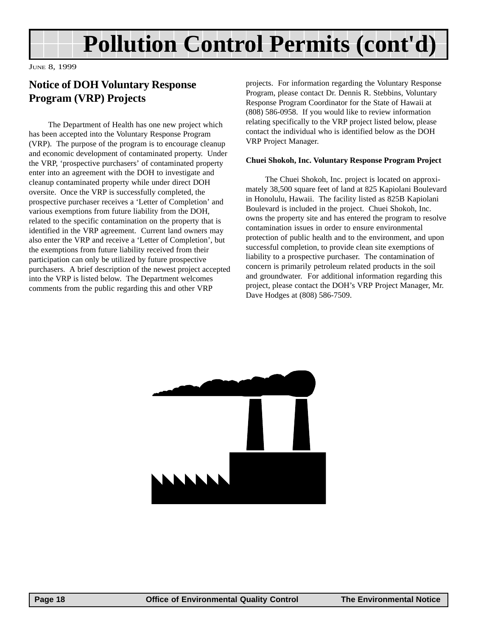## **Pollution Control Permits (cont'd)**

JUNE 8, 1999

### **Notice of DOH Voluntary Response Program (VRP) Projects**

The Department of Health has one new project which has been accepted into the Voluntary Response Program (VRP). The purpose of the program is to encourage cleanup and economic development of contaminated property. Under the VRP, 'prospective purchasers' of contaminated property enter into an agreement with the DOH to investigate and cleanup contaminated property while under direct DOH oversite. Once the VRP is successfully completed, the prospective purchaser receives a 'Letter of Completion' and various exemptions from future liability from the DOH, related to the specific contamination on the property that is identified in the VRP agreement. Current land owners may also enter the VRP and receive a 'Letter of Completion', but the exemptions from future liability received from their participation can only be utilized by future prospective purchasers. A brief description of the newest project accepted into the VRP is listed below. The Department welcomes comments from the public regarding this and other VRP

projects. For information regarding the Voluntary Response Program, please contact Dr. Dennis R. Stebbins, Voluntary Response Program Coordinator for the State of Hawaii at (808) 586-0958. If you would like to review information relating specifically to the VRP project listed below, please contact the individual who is identified below as the DOH VRP Project Manager.

#### **Chuei Shokoh, Inc. Voluntary Response Program Project**

The Chuei Shokoh, Inc. project is located on approximately 38,500 square feet of land at 825 Kapiolani Boulevard in Honolulu, Hawaii. The facility listed as 825B Kapiolani Boulevard is included in the project. Chuei Shokoh, Inc. owns the property site and has entered the program to resolve contamination issues in order to ensure environmental protection of public health and to the environment, and upon successful completion, to provide clean site exemptions of liability to a prospective purchaser. The contamination of concern is primarily petroleum related products in the soil and groundwater. For additional information regarding this project, please contact the DOH's VRP Project Manager, Mr. Dave Hodges at (808) 586-7509.

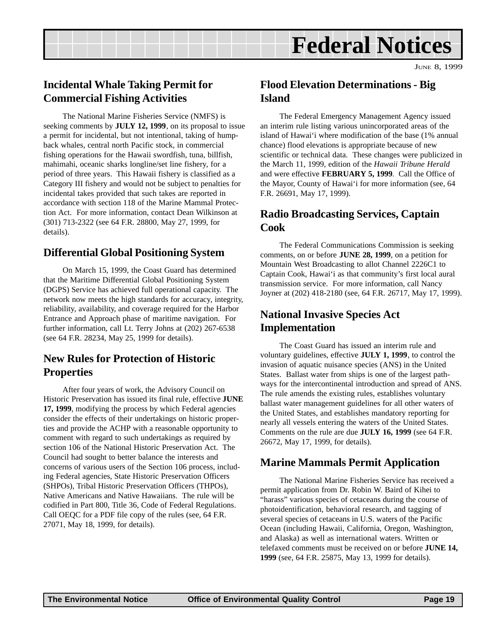## **Federal Notices**

### **Incidental Whale Taking Permit for Commercial Fishing Activities**

The National Marine Fisheries Service (NMFS) is seeking comments by **JULY 12, 1999**, on its proposal to issue a permit for incidental, but not intentional, taking of humpback whales, central north Pacific stock, in commercial fishing operations for the Hawaii swordfish, tuna, billfish, mahimahi, oceanic sharks longline/set line fishery, for a period of three years. This Hawaii fishery is classified as a Category III fishery and would not be subject to penalties for incidental takes provided that such takes are reported in accordance with section 118 of the Marine Mammal Protection Act. For more information, contact Dean Wilkinson at (301) 713-2322 (see 64 F.R. 28800, May 27, 1999, for details).

### **Differential Global Positioning System**

On March 15, 1999, the Coast Guard has determined that the Maritime Differential Global Positioning System (DGPS) Service has achieved full operational capacity. The network now meets the high standards for accuracy, integrity, reliability, availability, and coverage required for the Harbor Entrance and Approach phase of maritime navigation. For further information, call Lt. Terry Johns at (202) 267-6538 (see 64 F.R. 28234, May 25, 1999 for details).

### **New Rules for Protection of Historic Properties**

After four years of work, the Advisory Council on Historic Preservation has issued its final rule, effective **JUNE 17, 1999**, modifying the process by which Federal agencies consider the effects of their undertakings on historic properties and provide the ACHP with a reasonable opportunity to comment with regard to such undertakings as required by section 106 of the National Historic Preservation Act. The Council had sought to better balance the interests and concerns of various users of the Section 106 process, including Federal agencies, State Historic Preservation Officers (SHPOs), Tribal Historic Preservation Officers (THPOs), Native Americans and Native Hawaiians. The rule will be codified in Part 800, Title 36, Code of Federal Regulations. Call OEQC for a PDF file copy of the rules (see, 64 F.R. 27071, May 18, 1999, for details).

### **Flood Elevation Determinations - Big Island**

The Federal Emergency Management Agency issued an interim rule listing various unincorporated areas of the island of Hawai'i where modification of the base (1% annual chance) flood elevations is appropriate because of new scientific or technical data. These changes were publicized in the March 11, 1999, edition of the *Hawaii Tribune Herald* and were effective **FEBRUARY 5, 1999**. Call the Office of the Mayor, County of Hawai'i for more information (see, 64 F.R. 26691, May 17, 1999).

### **Radio Broadcasting Services, Captain Cook**

The Federal Communications Commission is seeking comments, on or before **JUNE 28, 1999**, on a petition for Mountain West Broadcasting to allot Channel 2226C1 to Captain Cook, Hawai'i as that community's first local aural transmission service. For more information, call Nancy Joyner at (202) 418-2180 (see, 64 F.R. 26717, May 17, 1999).

### **National Invasive Species Act Implementation**

The Coast Guard has issued an interim rule and voluntary guidelines, effective **JULY 1, 1999**, to control the invasion of aquatic nuisance species (ANS) in the United States. Ballast water from ships is one of the largest pathways for the intercontinental introduction and spread of ANS. The rule amends the existing rules, establishes voluntary ballast water management guidelines for all other waters of the United States, and establishes mandatory reporting for nearly all vessels entering the waters of the United States. Comments on the rule are due **JULY 16, 1999** (see 64 F.R. 26672, May 17, 1999, for details).

### **Marine Mammals Permit Application**

The National Marine Fisheries Service has received a permit application from Dr. Robin W. Baird of Kihei to "harass" various species of cetaceans during the course of photoidentification, behavioral research, and tagging of several species of cetaceans in U.S. waters of the Pacific Ocean (including Hawaii, California, Oregon, Washington, and Alaska) as well as international waters. Written or telefaxed comments must be received on or before **JUNE 14, 1999** (see, 64 F.R. 25875, May 13, 1999 for details).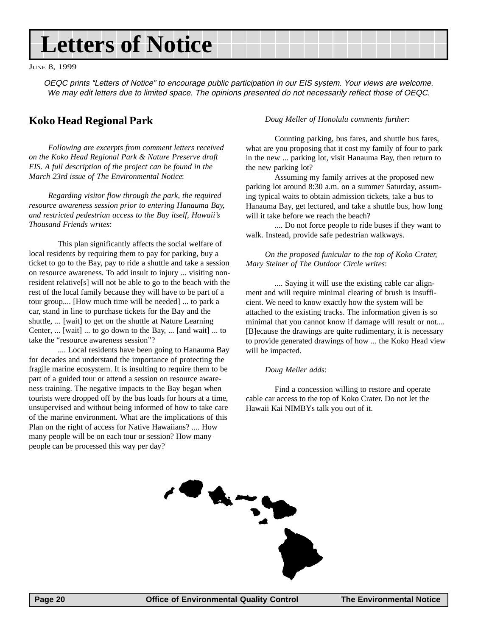## **Letters of Notice**

JUNE 8, 1999

OEQC prints "Letters of Notice" to encourage public participation in our EIS system. Your views are welcome. We may edit letters due to limited space. The opinions presented do not necessarily reflect those of OEQC.

### **Koko Head Regional Park**

*Following are excerpts from comment letters received on the Koko Head Regional Park & Nature Preserve draft EIS. A full description of the project can be found in the March 23rd issue of The Environmental Notice*:

*Regarding visitor flow through the park, the required resource awareness session prior to entering Hanauma Bay, and restricted pedestrian access to the Bay itself, Hawaii's Thousand Friends writes*:

This plan significantly affects the social welfare of local residents by requiring them to pay for parking, buy a ticket to go to the Bay, pay to ride a shuttle and take a session on resource awareness. To add insult to injury ... visiting nonresident relative[s] will not be able to go to the beach with the rest of the local family because they will have to be part of a tour group.... [How much time will be needed] ... to park a car, stand in line to purchase tickets for the Bay and the shuttle, ... [wait] to get on the shuttle at Nature Learning Center, ... [wait] ... to go down to the Bay, ... [and wait] ... to take the "resource awareness session"?

.... Local residents have been going to Hanauma Bay for decades and understand the importance of protecting the fragile marine ecosystem. It is insulting to require them to be part of a guided tour or attend a session on resource awareness training. The negative impacts to the Bay began when tourists were dropped off by the bus loads for hours at a time, unsupervised and without being informed of how to take care of the marine environment. What are the implications of this Plan on the right of access for Native Hawaiians? .... How many people will be on each tour or session? How many people can be processed this way per day?

#### *Doug Meller of Honolulu comments further*:

Counting parking, bus fares, and shuttle bus fares, what are you proposing that it cost my family of four to park in the new ... parking lot, visit Hanauma Bay, then return to the new parking lot?

Assuming my family arrives at the proposed new parking lot around 8:30 a.m. on a summer Saturday, assuming typical waits to obtain admission tickets, take a bus to Hanauma Bay, get lectured, and take a shuttle bus, how long will it take before we reach the beach?

.... Do not force people to ride buses if they want to walk. Instead, provide safe pedestrian walkways.

#### *On the proposed funicular to the top of Koko Crater, Mary Steiner of The Outdoor Circle writes*:

.... Saying it will use the existing cable car alignment and will require minimal clearing of brush is insufficient. We need to know exactly how the system will be attached to the existing tracks. The information given is so minimal that you cannot know if damage will result or not.... [B]ecause the drawings are quite rudimentary, it is necessary to provide generated drawings of how ... the Koko Head view will be impacted.

#### *Doug Meller adds*:

Find a concession willing to restore and operate cable car access to the top of Koko Crater. Do not let the Hawaii Kai NIMBYs talk you out of it.